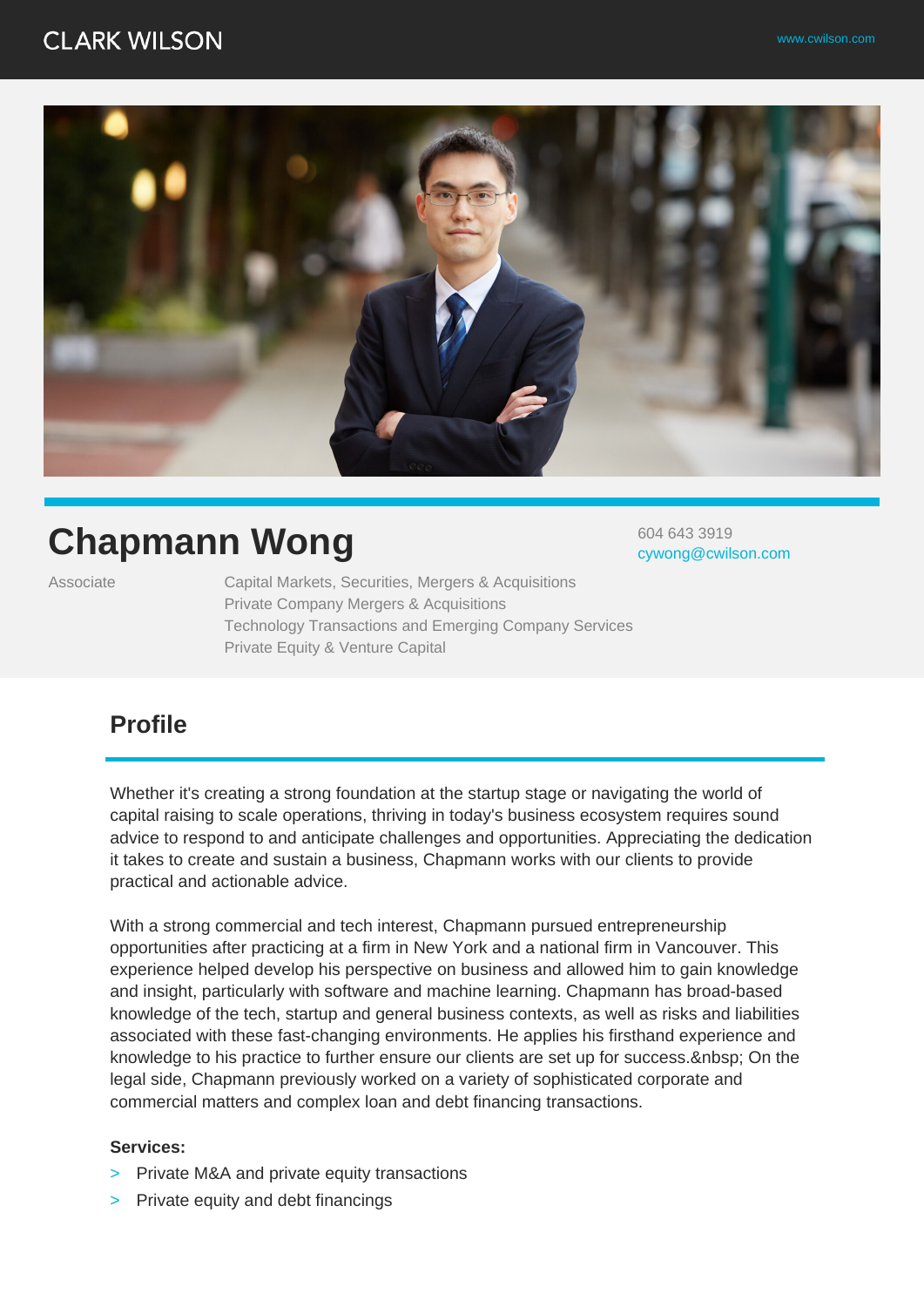## **CLARK WILSON**



# **Chapmann Wong**

Associate Capital Markets, Securities, Mergers & Acquisitions Private Company Mergers & Acquisitions Technology Transactions and Emerging Company Services Private Equity & Venture Capital

604 643 3919 cywong@cwilson.com

## **Profile**

Whether it's creating a strong foundation at the startup stage or navigating the world of capital raising to scale operations, thriving in today's business ecosystem requires sound advice to respond to and anticipate challenges and opportunities. Appreciating the dedication it takes to create and sustain a business, Chapmann works with our clients to provide practical and actionable advice.

With a strong commercial and tech interest, Chapmann pursued entrepreneurship opportunities after practicing at a firm in New York and a national firm in Vancouver. This experience helped develop his perspective on business and allowed him to gain knowledge and insight, particularly with software and machine learning. Chapmann has broad-based knowledge of the tech, startup and general business contexts, as well as risks and liabilities associated with these fast-changing environments. He applies his firsthand experience and knowledge to his practice to further ensure our clients are set up for success. & nbsp; On the legal side, Chapmann previously worked on a variety of sophisticated corporate and commercial matters and complex loan and debt financing transactions.

#### **Services:**

- > Private M&A and private equity transactions
- > Private equity and debt financings